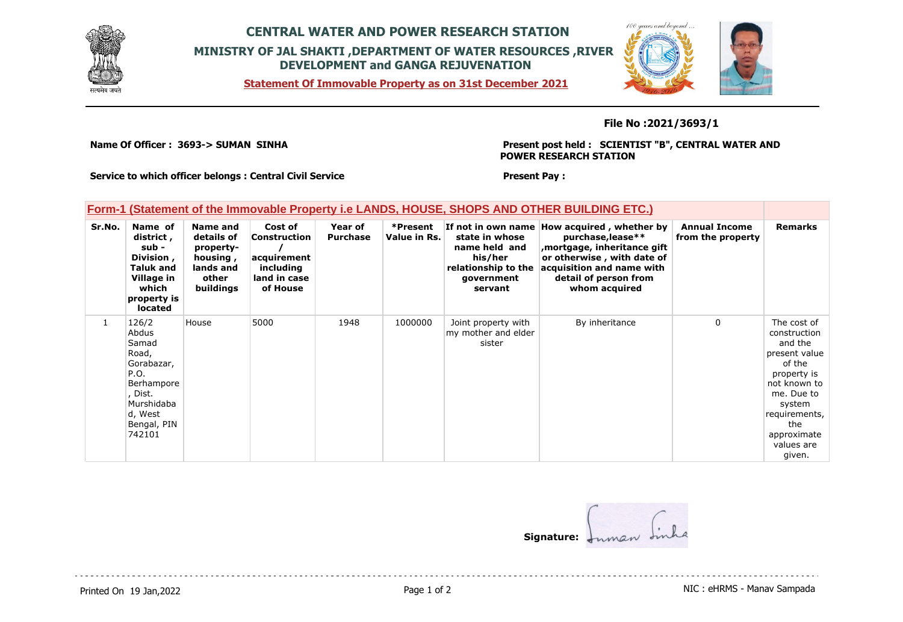

## **CENTRAL WATER AND POWER RESEARCH STATION MINISTRY OF JAL SHAKTI ,DEPARTMENT OF WATER RESOURCES ,RIVER DEVELOPMENT and GANGA REJUVENATION**

**Statement Of Immovable Property as on 31st December 2021**



### **File No :2021/3693/1**

**Name Of Officer : 3693-> SUMAN SINHA** 

**Present post held : SCIENTIST "B", CENTRAL WATER AND POWER RESEARCH STATION**

**Service to which officer belongs : Central Civil Service**

#### **Present Pay :**

### **Form-1 (Statement of the Immovable Property i.e LANDS, HOUSE, SHOPS AND OTHER BUILDING ETC.)**

| Sr.No.       | Name of<br>district,<br>sub -<br>Division,<br>Taluk and<br>Village in<br>which<br>property is<br><b>located</b>                   | <b>Name and</b><br>details of<br>property-<br>housing,<br>lands and<br>other<br>buildings | Cost of<br><b>Construction</b><br>acquirement<br>including<br>land in case<br>of House | Year of<br><b>Purchase</b> | *Present<br>Value in Rs. | state in whose<br>name held and<br>his/her<br>relationship to the<br>government<br>servant | If not in own name How acquired, whether by<br>purchase, lease**<br>, mortgage, inheritance gift<br>or otherwise, with date of<br>acquisition and name with<br>detail of person from<br>whom acquired | <b>Annual Income</b><br>from the property | <b>Remarks</b>                                                                                                                                                                          |
|--------------|-----------------------------------------------------------------------------------------------------------------------------------|-------------------------------------------------------------------------------------------|----------------------------------------------------------------------------------------|----------------------------|--------------------------|--------------------------------------------------------------------------------------------|-------------------------------------------------------------------------------------------------------------------------------------------------------------------------------------------------------|-------------------------------------------|-----------------------------------------------------------------------------------------------------------------------------------------------------------------------------------------|
| $\mathbf{1}$ | 126/2<br>Abdus<br>Samad<br>Road,<br>Gorabazar,<br>P.O.<br>Berhampore<br>, Dist.<br>Murshidaba<br>d, West<br>Bengal, PIN<br>742101 | House                                                                                     | 5000                                                                                   | 1948                       | 1000000                  | Joint property with<br>my mother and elder<br>sister                                       | By inheritance                                                                                                                                                                                        | $\Omega$                                  | The cost of<br>construction<br>and the<br>present value<br>of the<br>property is<br>not known to<br>me. Due to<br>system<br>requirements,<br>the<br>approximate<br>values are<br>given. |

**Signature:**